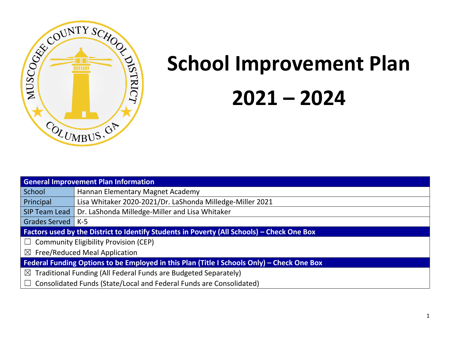

# **School Improvement Plan 2021 – 2024**

| <b>General Improvement Plan Information</b>                                                       |                                                                                                   |  |  |  |  |  |
|---------------------------------------------------------------------------------------------------|---------------------------------------------------------------------------------------------------|--|--|--|--|--|
| School                                                                                            | Hannan Elementary Magnet Academy                                                                  |  |  |  |  |  |
| Principal                                                                                         | Lisa Whitaker 2020-2021/Dr. LaShonda Milledge-Miller 2021                                         |  |  |  |  |  |
| SIP Team Lead                                                                                     | Dr. LaShonda Milledge-Miller and Lisa Whitaker                                                    |  |  |  |  |  |
| Grades Served   K-5                                                                               |                                                                                                   |  |  |  |  |  |
|                                                                                                   | <b>Factors used by the District to Identify Students in Poverty (All Schools) – Check One Box</b> |  |  |  |  |  |
|                                                                                                   | $\Box$ Community Eligibility Provision (CEP)                                                      |  |  |  |  |  |
|                                                                                                   | $\boxtimes$ Free/Reduced Meal Application                                                         |  |  |  |  |  |
| <b>Federal Funding Options to be Employed in this Plan (Title I Schools Only) - Check One Box</b> |                                                                                                   |  |  |  |  |  |
| $\boxtimes$ Traditional Funding (All Federal Funds are Budgeted Separately)                       |                                                                                                   |  |  |  |  |  |
| $\Box$ Consolidated Funds (State/Local and Federal Funds are Consolidated)                        |                                                                                                   |  |  |  |  |  |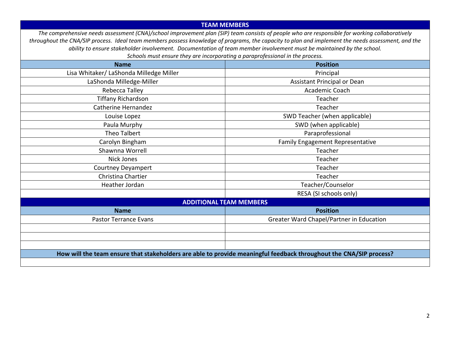#### **TEAM MEMBERS**

*The comprehensive needs assessment (CNA)/school improvement plan (SIP) team consists of people who are responsible for working collaboratively throughout the CNA/SIP process. Ideal team members possess knowledge of programs, the capacity to plan and implement the needs assessment, and the ability to ensure stakeholder involvement. Documentation of team member involvement must be maintained by the school.* 

*Schools must ensure they are incorporating a paraprofessional in the process.* **Name Position** Lisa Whitaker/ LaShonda Milledge Miller Principal Principal LaShonda Milledge-Miller **Assistant Principal or Dean** Rebecca Talley **Academic Coach Academic Coach** Tiffany Richardson Teacher The Contract of Teacher Teacher Teacher Teacher Catherine Hernandez **Teacher** Teacher Louise Lopez **SWD Teacher (when applicable)** Paula Murphy **SWD** (when applicable) Theo Talbert **Paraprofessional** Carolyn Bingham Family Engagement Representative Shawnna Worrell **Teacher** Teacher **Teacher** Teacher Nick Jones Teacher Courtney Deyampert **Teacher** Teacher Teacher Christina Chartier **Teacher** Teacher Teacher **Teacher** Teacher Heather Jordan Teacher/Counselor RESA (SI schools only) **ADDITIONAL TEAM MEMBERS Name Position** Pastor Terrance Evans Figure 1.1 Contract Chapel/Partner in Education **How will the team ensure that stakeholders are able to provide meaningful feedback throughout the CNA/SIP process?**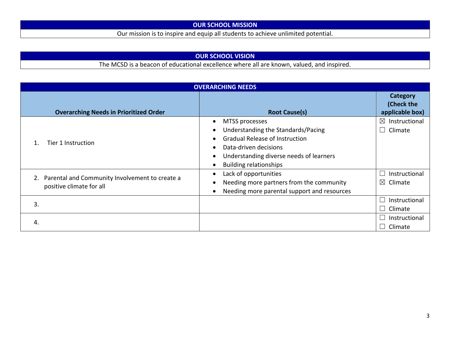# **OUR SCHOOL MISSION**

Our mission is to inspire and equip all students to achieve unlimited potential.

# **OUR SCHOOL VISION**

The MCSD is a beacon of educational excellence where all are known, valued, and inspired.

| <b>OVERARCHING NEEDS</b>                                                   |                                                                                                                                                                                                                                                                                  |                                                 |  |  |  |  |  |
|----------------------------------------------------------------------------|----------------------------------------------------------------------------------------------------------------------------------------------------------------------------------------------------------------------------------------------------------------------------------|-------------------------------------------------|--|--|--|--|--|
| <b>Overarching Needs in Prioritized Order</b>                              | <b>Root Cause(s)</b>                                                                                                                                                                                                                                                             | Category<br>(Check the<br>applicable box)       |  |  |  |  |  |
| Tier 1 Instruction                                                         | MTSS processes<br>$\bullet$<br>Understanding the Standards/Pacing<br>$\bullet$<br><b>Gradual Release of Instruction</b><br>$\bullet$<br>Data-driven decisions<br>$\bullet$<br>Understanding diverse needs of learners<br>$\bullet$<br><b>Building relationships</b><br>$\bullet$ | $\boxtimes$ Instructional<br>Climate<br>$\perp$ |  |  |  |  |  |
| Parental and Community Involvement to create a<br>positive climate for all | Lack of opportunities<br>$\bullet$<br>Needing more partners from the community<br>$\bullet$<br>Needing more parental support and resources<br>$\bullet$                                                                                                                          | Instructional<br>$\boxtimes$ Climate            |  |  |  |  |  |
| 3.                                                                         |                                                                                                                                                                                                                                                                                  | Instructional<br>$\Box$ Climate                 |  |  |  |  |  |
| 4.                                                                         |                                                                                                                                                                                                                                                                                  | Instructional<br>Climate                        |  |  |  |  |  |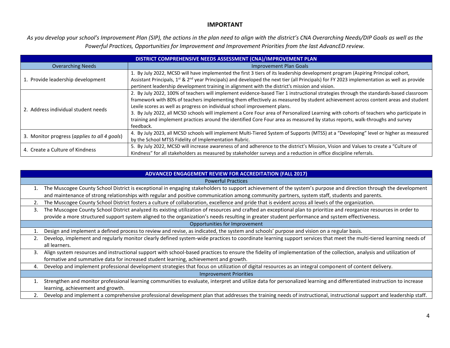#### **IMPORTANT**

*As you develop your school's Improvement Plan (SIP), the actions in the plan need to align with the district's CNA Overarching Needs/DIP Goals as well as the Powerful Practices, Opportunities for Improvement and Improvement Priorities from the last AdvancED review.*

| DISTRICT COMPREHENSIVE NEEDS ASSESSMENT (CNA)/IMPROVEMENT PLAN |                                                                                                                                                                                                                                                                                                                                                                                                                                                                                                                                                                                                                                                |  |  |  |  |  |  |
|----------------------------------------------------------------|------------------------------------------------------------------------------------------------------------------------------------------------------------------------------------------------------------------------------------------------------------------------------------------------------------------------------------------------------------------------------------------------------------------------------------------------------------------------------------------------------------------------------------------------------------------------------------------------------------------------------------------------|--|--|--|--|--|--|
| <b>Overarching Needs</b>                                       | Improvement Plan Goals                                                                                                                                                                                                                                                                                                                                                                                                                                                                                                                                                                                                                         |  |  |  |  |  |  |
| 1. Provide leadership development                              | 1. By July 2022, MCSD will have implemented the first 3 tiers of its leadership development program (Aspiring Principal cohort,<br>Assistant Principals, 1 <sup>st</sup> & 2 <sup>nd</sup> year Principals) and developed the next tier (all Principals) for FY 2023 implementation as well as provide<br>pertinent leadership development training in alignment with the district's mission and vision.                                                                                                                                                                                                                                       |  |  |  |  |  |  |
| 2. Address individual student needs                            | 2. By July 2022, 100% of teachers will implement evidence-based Tier 1 instructional strategies through the standards-based classroom<br>framework with 80% of teachers implementing them effectively as measured by student achievement across content areas and student<br>Lexile scores as well as progress on individual school improvement plans.<br>3. By July 2022, all MCSD schools will implement a Core Four area of Personalized Learning with cohorts of teachers who participate in<br>training and implement practices around the identified Core Four area as measured by status reports, walk-throughs and survey<br>feedback. |  |  |  |  |  |  |
| 3. Monitor progress (applies to all 4 goals)                   | 4. By July 2023, all MCSD schools will implement Multi-Tiered System of Supports (MTSS) at a "Developing" level or higher as measured<br>by the School MTSS Fidelity of Implementation Rubric.                                                                                                                                                                                                                                                                                                                                                                                                                                                 |  |  |  |  |  |  |
| 4. Create a Culture of Kindness                                | 5. By July 2022, MCSD will increase awareness of and adherence to the district's Mission, Vision and Values to create a "Culture of<br>Kindness" for all stakeholders as measured by stakeholder surveys and a reduction in office discipline referrals.                                                                                                                                                                                                                                                                                                                                                                                       |  |  |  |  |  |  |

|    | <b>ADVANCED ENGAGEMENT REVIEW FOR ACCREDITATION (FALL 2017)</b>                                                                                                                                                                                                                                                          |
|----|--------------------------------------------------------------------------------------------------------------------------------------------------------------------------------------------------------------------------------------------------------------------------------------------------------------------------|
|    | <b>Powerful Practices</b>                                                                                                                                                                                                                                                                                                |
| 1. | The Muscogee County School District is exceptional in engaging stakeholders to support achievement of the system's purpose and direction through the development<br>and maintenance of strong relationships with regular and positive communication among community partners, system staff, students and parents.        |
| 2. | The Muscogee County School District fosters a culture of collaboration, excellence and pride that is evident across all levels of the organization.                                                                                                                                                                      |
| 3. | The Muscogee County School District analyzed its existing utilization of resources and crafted an exceptional plan to prioritize and reorganize resources in order to<br>provide a more structured support system aligned to the organization's needs resulting in greater student performance and system effectiveness. |
|    | Opportunities for Improvement                                                                                                                                                                                                                                                                                            |
|    | Design and implement a defined process to review and revise, as indicated, the system and schools' purpose and vision on a regular basis.                                                                                                                                                                                |
|    | Develop, implement and regularly monitor clearly defined system-wide practices to coordinate learning support services that meet the multi-tiered learning needs of<br>all learners.                                                                                                                                     |
| 3. | Align system resources and instructional support with school-based practices to ensure the fidelity of implementation of the collection, analysis and utilization of<br>formative and summative data for increased student learning, achievement and growth.                                                             |
| 4. | Develop and implement professional development strategies that focus on utilization of digital resources as an integral component of content delivery.                                                                                                                                                                   |
|    | <b>Improvement Priorities</b>                                                                                                                                                                                                                                                                                            |
| 1. | Strengthen and monitor professional learning communities to evaluate, interpret and utilize data for personalized learning and differentiated instruction to increase<br>learning, achievement and growth.                                                                                                               |
|    | Develop and implement a comprehensive professional development plan that addresses the training needs of instructional, instructional support and leadership staff.                                                                                                                                                      |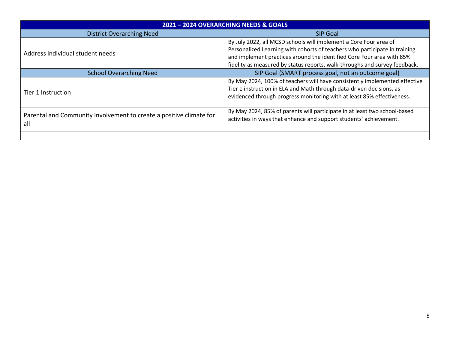| 2021 - 2024 OVERARCHING NEEDS & GOALS                                      |                                                                                                                                                                                                                                                                                                        |  |  |  |  |  |  |
|----------------------------------------------------------------------------|--------------------------------------------------------------------------------------------------------------------------------------------------------------------------------------------------------------------------------------------------------------------------------------------------------|--|--|--|--|--|--|
| <b>District Overarching Need</b>                                           | <b>SIP Goal</b>                                                                                                                                                                                                                                                                                        |  |  |  |  |  |  |
| Address individual student needs                                           | By July 2022, all MCSD schools will implement a Core Four area of<br>Personalized Learning with cohorts of teachers who participate in training<br>and implement practices around the identified Core Four area with 85%<br>fidelity as measured by status reports, walk-throughs and survey feedback. |  |  |  |  |  |  |
| <b>School Overarching Need</b>                                             | SIP Goal (SMART process goal, not an outcome goal)                                                                                                                                                                                                                                                     |  |  |  |  |  |  |
| Tier 1 Instruction                                                         | By May 2024, 100% of teachers will have consistently implemented effective<br>Tier 1 instruction in ELA and Math through data-driven decisions, as<br>evidenced through progress monitoring with at least 85% effectiveness.                                                                           |  |  |  |  |  |  |
| Parental and Community Involvement to create a positive climate for<br>all | By May 2024, 85% of parents will participate in at least two school-based<br>activities in ways that enhance and support students' achievement.                                                                                                                                                        |  |  |  |  |  |  |
|                                                                            |                                                                                                                                                                                                                                                                                                        |  |  |  |  |  |  |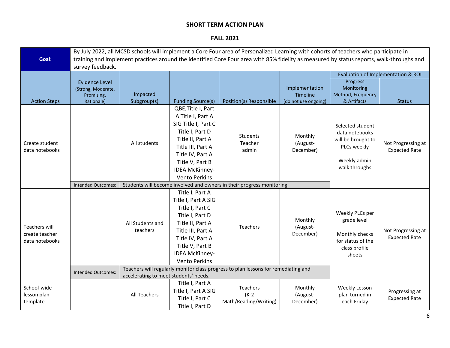#### **FALL 2021**

|                                                          | By July 2022, all MCSD schools will implement a Core Four area of Personalized Learning with cohorts of teachers who participate in                                                                                                                       |                                       |                                                                                                                                                                                                                    |                                                                                                        |                                                                                                  |                                                                                                          |                                            |  |
|----------------------------------------------------------|-----------------------------------------------------------------------------------------------------------------------------------------------------------------------------------------------------------------------------------------------------------|---------------------------------------|--------------------------------------------------------------------------------------------------------------------------------------------------------------------------------------------------------------------|--------------------------------------------------------------------------------------------------------|--------------------------------------------------------------------------------------------------|----------------------------------------------------------------------------------------------------------|--------------------------------------------|--|
| Goal:                                                    | training and implement practices around the identified Core Four area with 85% fidelity as measured by status reports, walk-throughs and                                                                                                                  |                                       |                                                                                                                                                                                                                    |                                                                                                        |                                                                                                  |                                                                                                          |                                            |  |
|                                                          | survey feedback.                                                                                                                                                                                                                                          |                                       |                                                                                                                                                                                                                    |                                                                                                        |                                                                                                  |                                                                                                          |                                            |  |
|                                                          |                                                                                                                                                                                                                                                           |                                       |                                                                                                                                                                                                                    |                                                                                                        | Evaluation of Implementation & ROI                                                               |                                                                                                          |                                            |  |
| <b>Action Steps</b>                                      | <b>Evidence Level</b><br>(Strong, Moderate,<br>Promising,<br>Rationale)                                                                                                                                                                                   | Impacted<br>Subgroup(s)               | <b>Funding Source(s)</b>                                                                                                                                                                                           | Position(s) Responsible                                                                                | Implementation<br>Timeline<br>(do not use ongoing)                                               | Progress<br>Monitoring<br>Method, Frequency<br>& Artifacts                                               | <b>Status</b>                              |  |
| Create student<br>data notebooks                         | <b>Intended Outcomes:</b>                                                                                                                                                                                                                                 | All students                          | QBE, Title I, Part<br>A Title I, Part A<br>SIG Title I, Part C<br>Title I, Part D<br>Title II, Part A<br>Title III, Part A<br>Title IV, Part A<br>Title V, Part B<br><b>IDEA McKinney-</b><br><b>Vento Perkins</b> | Students<br>Teacher<br>admin<br>Students will become involved and owners in their progress monitoring. | Monthly<br>(August-<br>December)                                                                 | Selected student<br>data notebooks<br>will be brought to<br>PLCs weekly<br>Weekly admin<br>walk throughs | Not Progressing at<br><b>Expected Rate</b> |  |
|                                                          |                                                                                                                                                                                                                                                           |                                       |                                                                                                                                                                                                                    |                                                                                                        |                                                                                                  |                                                                                                          |                                            |  |
| <b>Teachers will</b><br>create teacher<br>data notebooks | Title I, Part A<br>Title I, Part A SIG<br>Title I, Part C<br>Title I, Part D<br>Title II, Part A<br>All Students and<br>Teachers<br>teachers<br>Title III, Part A<br>Title IV, Part A<br>Title V, Part B<br><b>IDEA McKinney-</b><br><b>Vento Perkins</b> |                                       |                                                                                                                                                                                                                    | Monthly<br>(August-<br>December)                                                                       | Weekly PLCs per<br>grade level<br>Monthly checks<br>for status of the<br>class profile<br>sheets | Not Progressing at<br><b>Expected Rate</b>                                                               |                                            |  |
|                                                          | <b>Intended Outcomes:</b>                                                                                                                                                                                                                                 | accelerating to meet students' needs. |                                                                                                                                                                                                                    | Teachers will regularly monitor class progress to plan lessons for remediating and                     |                                                                                                  |                                                                                                          |                                            |  |
| School-wide<br>lesson plan<br>template                   |                                                                                                                                                                                                                                                           | All Teachers                          | Title I, Part A<br>Title I, Part A SIG<br>Title I, Part C<br>Title I, Part D                                                                                                                                       | Teachers<br>$(K-2)$<br>Math/Reading/Writing)                                                           | Monthly<br>(August-<br>December)                                                                 | Weekly Lesson<br>plan turned in<br>each Friday                                                           | Progressing at<br><b>Expected Rate</b>     |  |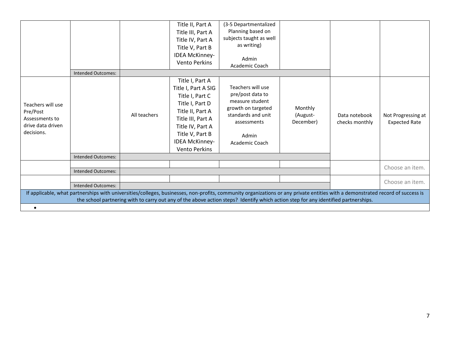|                                                                                    | <b>Intended Outcomes:</b>                                                                                                                                                                                                                                                                                            |              | Title II, Part A<br>Title III, Part A<br>Title IV, Part A<br>Title V, Part B<br><b>IDEA McKinney-</b><br><b>Vento Perkins</b>                                                                                 | (3-5 Departmentalized<br>Planning based on<br>subjects taught as well<br>as writing)<br>Admin<br>Academic Coach                                |                                  |                                 |                                            |
|------------------------------------------------------------------------------------|----------------------------------------------------------------------------------------------------------------------------------------------------------------------------------------------------------------------------------------------------------------------------------------------------------------------|--------------|---------------------------------------------------------------------------------------------------------------------------------------------------------------------------------------------------------------|------------------------------------------------------------------------------------------------------------------------------------------------|----------------------------------|---------------------------------|--------------------------------------------|
| Teachers will use<br>Pre/Post<br>Assessments to<br>drive data driven<br>decisions. |                                                                                                                                                                                                                                                                                                                      | All teachers | Title I, Part A<br>Title I, Part A SIG<br>Title I, Part C<br>Title I, Part D<br>Title II, Part A<br>Title III, Part A<br>Title IV, Part A<br>Title V, Part B<br><b>IDEA McKinney-</b><br><b>Vento Perkins</b> | Teachers will use<br>pre/post data to<br>measure student<br>growth on targeted<br>standards and unit<br>assessments<br>Admin<br>Academic Coach | Monthly<br>(August-<br>December) | Data notebook<br>checks monthly | Not Progressing at<br><b>Expected Rate</b> |
|                                                                                    | <b>Intended Outcomes:</b>                                                                                                                                                                                                                                                                                            |              |                                                                                                                                                                                                               |                                                                                                                                                |                                  |                                 |                                            |
|                                                                                    | <b>Intended Outcomes:</b>                                                                                                                                                                                                                                                                                            |              |                                                                                                                                                                                                               |                                                                                                                                                |                                  |                                 | Choose an item.                            |
|                                                                                    | <b>Intended Outcomes:</b>                                                                                                                                                                                                                                                                                            |              |                                                                                                                                                                                                               |                                                                                                                                                |                                  |                                 | Choose an item.                            |
|                                                                                    | If applicable, what partnerships with universities/colleges, businesses, non-profits, community organizations or any private entities with a demonstrated record of success is<br>the school partnering with to carry out any of the above action steps? Identify which action step for any identified partnerships. |              |                                                                                                                                                                                                               |                                                                                                                                                |                                  |                                 |                                            |
|                                                                                    |                                                                                                                                                                                                                                                                                                                      |              |                                                                                                                                                                                                               |                                                                                                                                                |                                  |                                 |                                            |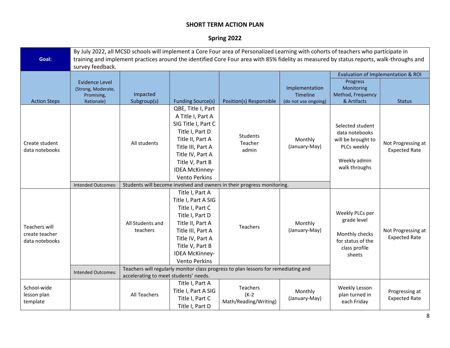# **Spring 2022**

|                                                          | By July 2022, all MCSD schools will implement a Core Four area of Personalized Learning with cohorts of teachers who participate in      |                                       |                                                                                                                                                                                                                    |                                                                                                               |                                                    |                                                                                                          |                                            |  |
|----------------------------------------------------------|------------------------------------------------------------------------------------------------------------------------------------------|---------------------------------------|--------------------------------------------------------------------------------------------------------------------------------------------------------------------------------------------------------------------|---------------------------------------------------------------------------------------------------------------|----------------------------------------------------|----------------------------------------------------------------------------------------------------------|--------------------------------------------|--|
| Goal:                                                    | training and implement practices around the identified Core Four area with 85% fidelity as measured by status reports, walk-throughs and |                                       |                                                                                                                                                                                                                    |                                                                                                               |                                                    |                                                                                                          |                                            |  |
|                                                          | survey feedback.                                                                                                                         |                                       |                                                                                                                                                                                                                    |                                                                                                               |                                                    |                                                                                                          |                                            |  |
|                                                          |                                                                                                                                          |                                       |                                                                                                                                                                                                                    |                                                                                                               |                                                    | Evaluation of Implementation & ROI                                                                       |                                            |  |
| <b>Action Steps</b>                                      | <b>Evidence Level</b><br>(Strong, Moderate,<br>Promising,<br>Rationale)                                                                  | Impacted<br>Subgroup(s)               | <b>Funding Source(s)</b>                                                                                                                                                                                           | Position(s) Responsible                                                                                       | Implementation<br>Timeline<br>(do not use ongoing) | Progress<br>Monitoring<br>Method, Frequency<br>& Artifacts                                               | <b>Status</b>                              |  |
| Create student<br>data notebooks                         | Intended Outcomes:                                                                                                                       | All students                          | QBE, Title I, Part<br>A Title I, Part A<br>SIG Title I, Part C<br>Title I, Part D<br>Title II, Part A<br>Title III, Part A<br>Title IV, Part A<br>Title V, Part B<br><b>IDEA McKinney-</b><br><b>Vento Perkins</b> | <b>Students</b><br>Teacher<br>admin<br>Students will become involved and owners in their progress monitoring. | Monthly<br>(January-May)                           | Selected student<br>data notebooks<br>will be brought to<br>PLCs weekly<br>Weekly admin<br>walk throughs | Not Progressing at<br><b>Expected Rate</b> |  |
|                                                          |                                                                                                                                          |                                       | Title I, Part A                                                                                                                                                                                                    |                                                                                                               |                                                    |                                                                                                          |                                            |  |
| <b>Teachers will</b><br>create teacher<br>data notebooks |                                                                                                                                          | All Students and<br>teachers          | Title I, Part A SIG<br>Title I, Part C<br>Title I, Part D<br>Title II, Part A<br>Title III, Part A<br>Title IV, Part A<br>Title V, Part B<br><b>IDEA McKinney-</b><br><b>Vento Perkins</b>                         | Teachers                                                                                                      | Monthly<br>(January-May)                           | Weekly PLCs per<br>grade level<br>Monthly checks<br>for status of the<br>class profile<br>sheets         | Not Progressing at<br><b>Expected Rate</b> |  |
|                                                          | Intended Outcomes:                                                                                                                       |                                       | Teachers will regularly monitor class progress to plan lessons for remediating and                                                                                                                                 |                                                                                                               |                                                    |                                                                                                          |                                            |  |
|                                                          |                                                                                                                                          | accelerating to meet students' needs. |                                                                                                                                                                                                                    |                                                                                                               |                                                    |                                                                                                          |                                            |  |
| School-wide<br>lesson plan<br>template                   |                                                                                                                                          | All Teachers                          | Title I, Part A<br>Title I, Part A SIG<br>Title I, Part C<br>Title I, Part D                                                                                                                                       | Teachers<br>$(K-2)$<br>Math/Reading/Writing)                                                                  | Monthly<br>(January-May)                           | Weekly Lesson<br>plan turned in<br>each Friday                                                           | Progressing at<br><b>Expected Rate</b>     |  |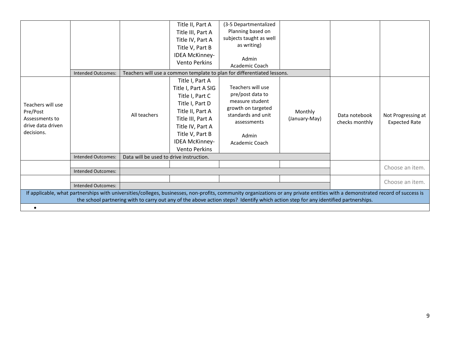|                                                                                    | <b>Intended Outcomes:</b>                                                                                                                                                                                                                                                                                            |                                         | Title II, Part A<br>Title III, Part A<br>Title IV, Part A<br>Title V, Part B<br>IDEA McKinney-<br><b>Vento Perkins</b>                                                                                        | (3-5 Departmentalized<br>Planning based on<br>subjects taught as well<br>as writing)<br>Admin<br>Academic Coach<br>Teachers will use a common template to plan for differentiated lessons. |                          |                                 |                                            |
|------------------------------------------------------------------------------------|----------------------------------------------------------------------------------------------------------------------------------------------------------------------------------------------------------------------------------------------------------------------------------------------------------------------|-----------------------------------------|---------------------------------------------------------------------------------------------------------------------------------------------------------------------------------------------------------------|--------------------------------------------------------------------------------------------------------------------------------------------------------------------------------------------|--------------------------|---------------------------------|--------------------------------------------|
| Teachers will use<br>Pre/Post<br>Assessments to<br>drive data driven<br>decisions. |                                                                                                                                                                                                                                                                                                                      | All teachers                            | Title I, Part A<br>Title I, Part A SIG<br>Title I, Part C<br>Title I, Part D<br>Title II, Part A<br>Title III, Part A<br>Title IV, Part A<br>Title V, Part B<br><b>IDEA McKinney-</b><br><b>Vento Perkins</b> | Teachers will use<br>pre/post data to<br>measure student<br>growth on targeted<br>standards and unit<br>assessments<br>Admin<br>Academic Coach                                             | Monthly<br>(January-May) | Data notebook<br>checks monthly | Not Progressing at<br><b>Expected Rate</b> |
|                                                                                    | <b>Intended Outcomes:</b>                                                                                                                                                                                                                                                                                            | Data will be used to drive instruction. |                                                                                                                                                                                                               |                                                                                                                                                                                            |                          |                                 |                                            |
|                                                                                    | <b>Intended Outcomes:</b>                                                                                                                                                                                                                                                                                            |                                         |                                                                                                                                                                                                               |                                                                                                                                                                                            |                          |                                 | Choose an item.                            |
|                                                                                    | <b>Intended Outcomes:</b>                                                                                                                                                                                                                                                                                            |                                         |                                                                                                                                                                                                               |                                                                                                                                                                                            |                          |                                 | Choose an item.                            |
|                                                                                    | If applicable, what partnerships with universities/colleges, businesses, non-profits, community organizations or any private entities with a demonstrated record of success is<br>the school partnering with to carry out any of the above action steps? Identify which action step for any identified partnerships. |                                         |                                                                                                                                                                                                               |                                                                                                                                                                                            |                          |                                 |                                            |
|                                                                                    |                                                                                                                                                                                                                                                                                                                      |                                         |                                                                                                                                                                                                               |                                                                                                                                                                                            |                          |                                 |                                            |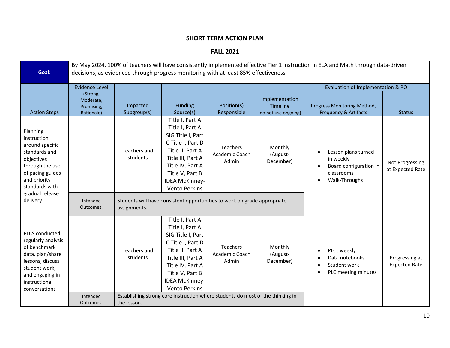**FALL 2021**

| Goal:                                                                                                                                                                 | By May 2024, 100% of teachers will have consistently implemented effective Tier 1 instruction in ELA and Math through data-driven<br>decisions, as evidenced through progress monitoring with at least 85% effectiveness. |                          |                                                                                                                                                                                                               |                                                                                                                       |                                                    |                                                                                                        |                                        |
|-----------------------------------------------------------------------------------------------------------------------------------------------------------------------|---------------------------------------------------------------------------------------------------------------------------------------------------------------------------------------------------------------------------|--------------------------|---------------------------------------------------------------------------------------------------------------------------------------------------------------------------------------------------------------|-----------------------------------------------------------------------------------------------------------------------|----------------------------------------------------|--------------------------------------------------------------------------------------------------------|----------------------------------------|
|                                                                                                                                                                       | <b>Evidence Level</b>                                                                                                                                                                                                     |                          |                                                                                                                                                                                                               |                                                                                                                       |                                                    | Evaluation of Implementation & ROI                                                                     |                                        |
| <b>Action Steps</b>                                                                                                                                                   | (Strong,<br>Moderate,<br>Promising,<br>Rationale)                                                                                                                                                                         | Impacted<br>Subgroup(s)  | <b>Funding</b><br>Source(s)                                                                                                                                                                                   | Position(s)<br>Responsible                                                                                            | Implementation<br>Timeline<br>(do not use ongoing) | Progress Monitoring Method,<br><b>Frequency &amp; Artifacts</b>                                        | <b>Status</b>                          |
| Planning<br>instruction<br>around specific<br>standards and<br>objectives<br>through the use<br>of pacing guides<br>and priority<br>standards with<br>gradual release |                                                                                                                                                                                                                           | Teachers and<br>students | Title I, Part A<br>Title I, Part A<br>SIG Title I, Part<br>C Title I, Part D<br>Title II, Part A<br>Title III, Part A<br>Title IV, Part A<br>Title V, Part B<br><b>IDEA McKinney-</b><br><b>Vento Perkins</b> | Teachers<br>Academic Coach<br>Admin                                                                                   | Monthly<br>(August-<br>December)                   | Lesson plans turned<br>in weekly<br>Board configuration in<br>classrooms<br>Walk-Throughs<br>$\bullet$ | Not Progressing<br>at Expected Rate    |
| delivery                                                                                                                                                              | Intended<br>Outcomes:                                                                                                                                                                                                     | assignments.             |                                                                                                                                                                                                               | Students will have consistent opportunities to work on grade appropriate                                              |                                                    |                                                                                                        |                                        |
| PLCS conducted<br>regularly analysis<br>of benchmark<br>data, plan/share<br>lessons, discuss<br>student work,<br>and engaging in<br>instructional<br>conversations    | Intended                                                                                                                                                                                                                  | Teachers and<br>students | Title I, Part A<br>Title I, Part A<br>SIG Title I, Part<br>C Title I, Part D<br>Title II, Part A<br>Title III, Part A<br>Title IV, Part A<br>Title V, Part B<br><b>IDEA McKinney-</b><br><b>Vento Perkins</b> | Teachers<br>Academic Coach<br>Admin<br>Establishing strong core instruction where students do most of the thinking in | Monthly<br>(August-<br>December)                   | PLCs weekly<br>Data notebooks<br>Student work<br>٠<br>PLC meeting minutes                              | Progressing at<br><b>Expected Rate</b> |
|                                                                                                                                                                       | Outcomes:                                                                                                                                                                                                                 | the lesson.              |                                                                                                                                                                                                               |                                                                                                                       |                                                    |                                                                                                        |                                        |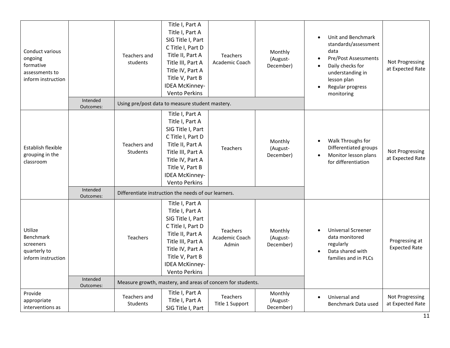| Conduct various<br>ongoing<br>formative<br>assessments to<br>inform instruction | Title I, Part A<br>Title I, Part A<br>SIG Title I, Part<br>C Title I, Part D<br>Title II, Part A<br>Teachers and<br><b>Teachers</b><br>students<br>Title III, Part A<br>Academic Coach<br>Title IV, Part A<br>Title V, Part B | Monthly<br>(August-<br>December) | Unit and Benchmark<br>$\bullet$<br>standards/assessment<br>data<br><b>Pre/Post Assessments</b><br>$\bullet$<br>Daily checks for<br>$\bullet$<br>understanding in<br>lesson plan                                                                                              | Not Progressing<br>at Expected Rate        |                                  |                                                                                                                     |                                        |
|---------------------------------------------------------------------------------|-------------------------------------------------------------------------------------------------------------------------------------------------------------------------------------------------------------------------------|----------------------------------|------------------------------------------------------------------------------------------------------------------------------------------------------------------------------------------------------------------------------------------------------------------------------|--------------------------------------------|----------------------------------|---------------------------------------------------------------------------------------------------------------------|----------------------------------------|
|                                                                                 |                                                                                                                                                                                                                               |                                  | <b>IDEA McKinney-</b><br><b>Vento Perkins</b>                                                                                                                                                                                                                                |                                            |                                  | Regular progress<br>monitoring                                                                                      |                                        |
|                                                                                 | Intended<br>Outcomes:                                                                                                                                                                                                         |                                  | Using pre/post data to measure student mastery.                                                                                                                                                                                                                              |                                            |                                  |                                                                                                                     |                                        |
| Establish flexible<br>grouping in the<br>classroom                              | Intended                                                                                                                                                                                                                      | Teachers and<br><b>Students</b>  | Title I, Part A<br>Title I, Part A<br>SIG Title I, Part<br>C Title I, Part D<br>Title II, Part A<br>Title III, Part A<br>Title IV, Part A<br>Title V, Part B<br><b>IDEA McKinney-</b><br><b>Vento Perkins</b><br>Differentiate instruction the needs of our learners.        | Teachers                                   | Monthly<br>(August-<br>December) | Walk Throughs for<br>$\bullet$<br>Differentiated groups<br>Monitor lesson plans<br>$\bullet$<br>for differentiation | Not Progressing<br>at Expected Rate    |
| Utilize<br>Benchmark<br>screeners<br>quarterly to<br>inform instruction         | Outcomes:<br>Intended<br>Outcomes:                                                                                                                                                                                            | <b>Teachers</b>                  | Title I, Part A<br>Title I, Part A<br>SIG Title I, Part<br>C Title I, Part D<br>Title II, Part A<br>Title III, Part A<br>Title IV, Part A<br>Title V, Part B<br><b>IDEA McKinney-</b><br><b>Vento Perkins</b><br>Measure growth, mastery, and areas of concern for students. | <b>Teachers</b><br>Academic Coach<br>Admin | Monthly<br>(August-<br>December) | <b>Universal Screener</b><br>data monitored<br>regularly<br>Data shared with<br>families and in PLCs                | Progressing at<br><b>Expected Rate</b> |
| Provide<br>appropriate<br>interventions as                                      |                                                                                                                                                                                                                               | Teachers and<br><b>Students</b>  | Title I, Part A<br>Title I, Part A<br>SIG Title I, Part                                                                                                                                                                                                                      | <b>Teachers</b><br>Title 1 Support         | Monthly<br>(August-<br>December) | Universal and<br>Benchmark Data used                                                                                | Not Progressing<br>at Expected Rate    |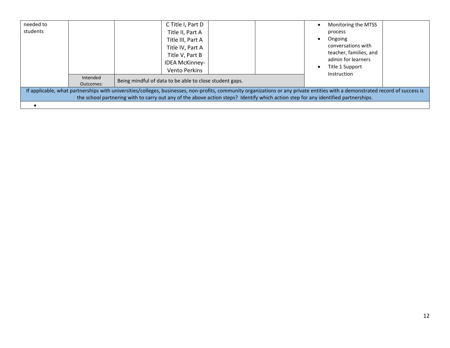| needed to<br>students                                                                                                                                                                                                                                                                                                | Intended<br>Outcomes: | C Title I, Part D<br>Title II, Part A<br>Title III, Part A<br>Title IV, Part A<br>Title V, Part B<br><b>IDEA McKinney-</b><br><b>Vento Perkins</b><br>Being mindful of data to be able to close student gaps. | Monitoring the MTSS<br>process<br>Ongoing<br>conversations with<br>teacher, families, and<br>admin for learners<br>Title 1 Support<br>Instruction |  |  |  |
|----------------------------------------------------------------------------------------------------------------------------------------------------------------------------------------------------------------------------------------------------------------------------------------------------------------------|-----------------------|---------------------------------------------------------------------------------------------------------------------------------------------------------------------------------------------------------------|---------------------------------------------------------------------------------------------------------------------------------------------------|--|--|--|
| If applicable, what partnerships with universities/colleges, businesses, non-profits, community organizations or any private entities with a demonstrated record of success is<br>the school partnering with to carry out any of the above action steps? Identify which action step for any identified partnerships. |                       |                                                                                                                                                                                                               |                                                                                                                                                   |  |  |  |
|                                                                                                                                                                                                                                                                                                                      |                       |                                                                                                                                                                                                               |                                                                                                                                                   |  |  |  |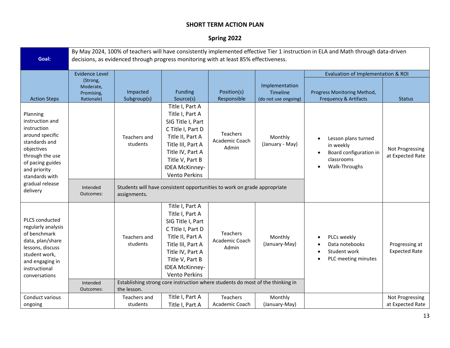# **Spring 2022**

|                                                                                                                                                                                          | By May 2024, 100% of teachers will have consistently implemented effective Tier 1 instruction in ELA and Math through data-driven |                                         |                                                                                                                                                                                                               |                                                                                                                              |                                                    |                                                                                                             |                                        |
|------------------------------------------------------------------------------------------------------------------------------------------------------------------------------------------|-----------------------------------------------------------------------------------------------------------------------------------|-----------------------------------------|---------------------------------------------------------------------------------------------------------------------------------------------------------------------------------------------------------------|------------------------------------------------------------------------------------------------------------------------------|----------------------------------------------------|-------------------------------------------------------------------------------------------------------------|----------------------------------------|
| Goal:                                                                                                                                                                                    | decisions, as evidenced through progress monitoring with at least 85% effectiveness.                                              |                                         |                                                                                                                                                                                                               |                                                                                                                              |                                                    |                                                                                                             |                                        |
|                                                                                                                                                                                          | <b>Evidence Level</b>                                                                                                             |                                         |                                                                                                                                                                                                               |                                                                                                                              |                                                    | Evaluation of Implementation & ROI                                                                          |                                        |
| <b>Action Steps</b>                                                                                                                                                                      | (Strong,<br>Moderate,<br>Promising,<br>Rationale)                                                                                 | Impacted<br>Subgroup(s)                 | <b>Funding</b><br>Source(s)                                                                                                                                                                                   | Position(s)<br>Responsible                                                                                                   | Implementation<br>Timeline<br>(do not use ongoing) | Progress Monitoring Method,<br><b>Frequency &amp; Artifacts</b>                                             | <b>Status</b>                          |
| Planning<br>instruction and<br>instruction<br>around specific<br>standards and<br>objectives<br>through the use<br>of pacing guides<br>and priority<br>standards with<br>gradual release |                                                                                                                                   | Teachers and<br>students                | Title I, Part A<br>Title I, Part A<br>SIG Title I, Part<br>C Title I, Part D<br>Title II, Part A<br>Title III, Part A<br>Title IV, Part A<br>Title V, Part B<br><b>IDEA McKinney-</b><br><b>Vento Perkins</b> | Teachers<br>Academic Coach<br>Admin                                                                                          | Monthly<br>(January - May)                         | Lesson plans turned<br>in weekly<br>Board configuration in<br>$\bullet$<br>classrooms<br>Walk-Throughs<br>٠ | Not Progressing<br>at Expected Rate    |
| delivery                                                                                                                                                                                 | Intended<br>Outcomes:                                                                                                             | assignments.                            |                                                                                                                                                                                                               | Students will have consistent opportunities to work on grade appropriate                                                     |                                                    |                                                                                                             |                                        |
| PLCS conducted<br>regularly analysis<br>of benchmark<br>data, plan/share<br>lessons, discuss<br>student work,<br>and engaging in<br>instructional<br>conversations                       | Intended<br>Outcomes:                                                                                                             | Teachers and<br>students<br>the lesson. | Title I, Part A<br>Title I, Part A<br>SIG Title I, Part<br>C Title I, Part D<br>Title II, Part A<br>Title III, Part A<br>Title IV, Part A<br>Title V, Part B<br><b>IDEA McKinney-</b><br><b>Vento Perkins</b> | <b>Teachers</b><br>Academic Coach<br>Admin<br>Establishing strong core instruction where students do most of the thinking in | Monthly<br>(January-May)                           | PLCs weekly<br>$\bullet$<br>Data notebooks<br>Student work<br>PLC meeting minutes                           | Progressing at<br><b>Expected Rate</b> |
| Conduct various                                                                                                                                                                          |                                                                                                                                   | Teachers and                            | Title I, Part A                                                                                                                                                                                               | Teachers                                                                                                                     | Monthly                                            |                                                                                                             | Not Progressing                        |
| ongoing                                                                                                                                                                                  |                                                                                                                                   | students                                | Title I, Part A                                                                                                                                                                                               | Academic Coach                                                                                                               | (January-May)                                      |                                                                                                             | at Expected Rate                       |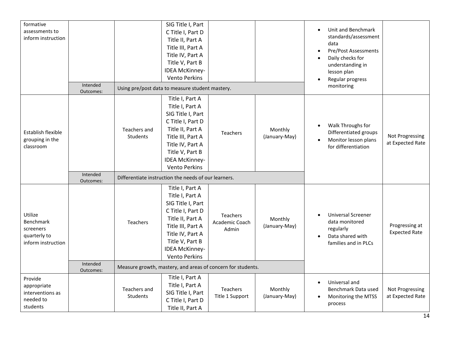| formative          |                       |                 | SIG Title I, Part                                           |                            |               | Unit and Benchmark<br>$\bullet$                   |                      |
|--------------------|-----------------------|-----------------|-------------------------------------------------------------|----------------------------|---------------|---------------------------------------------------|----------------------|
| assessments to     |                       |                 | C Title I, Part D                                           |                            |               | standards/assessment                              |                      |
| inform instruction |                       |                 | Title II, Part A                                            |                            |               | data                                              |                      |
|                    |                       |                 | Title III, Part A                                           |                            |               | Pre/Post Assessments<br>$\bullet$                 |                      |
|                    |                       |                 | Title IV, Part A                                            |                            |               | Daily checks for<br>$\bullet$                     |                      |
|                    |                       |                 | Title V, Part B                                             |                            |               | understanding in                                  |                      |
|                    |                       |                 | <b>IDEA McKinney-</b>                                       |                            |               | lesson plan                                       |                      |
|                    |                       |                 | <b>Vento Perkins</b>                                        |                            |               | Regular progress<br>$\bullet$                     |                      |
|                    | Intended<br>Outcomes: |                 | Using pre/post data to measure student mastery.             |                            |               | monitoring                                        |                      |
|                    |                       |                 | Title I, Part A                                             |                            |               |                                                   |                      |
|                    |                       |                 | Title I, Part A                                             |                            |               |                                                   |                      |
|                    |                       |                 | SIG Title I, Part                                           |                            |               |                                                   |                      |
|                    |                       |                 | C Title I, Part D                                           |                            |               | Walk Throughs for<br>$\bullet$                    |                      |
| Establish flexible |                       | Teachers and    | Title II, Part A                                            | <b>Teachers</b>            | Monthly       | Differentiated groups                             |                      |
| grouping in the    |                       | Students        | Title III, Part A                                           |                            | (January-May) | Monitor lesson plans<br>$\bullet$                 | Not Progressing      |
| classroom          |                       |                 | Title IV, Part A                                            |                            |               | for differentiation                               | at Expected Rate     |
|                    |                       |                 | Title V, Part B                                             |                            |               |                                                   |                      |
|                    |                       |                 | IDEA McKinney-                                              |                            |               |                                                   |                      |
|                    |                       |                 | <b>Vento Perkins</b>                                        |                            |               |                                                   |                      |
|                    | Intended<br>Outcomes: |                 | Differentiate instruction the needs of our learners.        |                            |               |                                                   |                      |
|                    |                       |                 | Title I, Part A                                             |                            |               |                                                   |                      |
|                    |                       |                 | Title I, Part A                                             |                            |               |                                                   |                      |
|                    |                       |                 | SIG Title I, Part                                           |                            |               |                                                   |                      |
| Utilize            |                       |                 | C Title I, Part D                                           |                            |               | <b>Universal Screener</b>                         |                      |
| Benchmark          |                       | <b>Teachers</b> | Title II, Part A                                            | Teachers<br>Academic Coach | Monthly       | data monitored                                    |                      |
| screeners          |                       |                 | Title III, Part A                                           | Admin                      | (January-May) | regularly                                         | Progressing at       |
| quarterly to       |                       |                 | Title IV, Part A                                            |                            |               | Data shared with<br>$\bullet$                     | <b>Expected Rate</b> |
| inform instruction |                       |                 | Title V, Part B                                             |                            |               | families and in PLCs                              |                      |
|                    |                       |                 | IDEA McKinney-                                              |                            |               |                                                   |                      |
|                    |                       |                 | <b>Vento Perkins</b>                                        |                            |               |                                                   |                      |
|                    | Intended<br>Outcomes: |                 | Measure growth, mastery, and areas of concern for students. |                            |               |                                                   |                      |
| Provide            |                       |                 | Title I, Part A                                             |                            |               |                                                   |                      |
| appropriate        |                       | Teachers and    | Title I, Part A                                             | <b>Teachers</b>            | Monthly       | Universal and<br>$\bullet$<br>Benchmark Data used | Not Progressing      |
| interventions as   |                       | Students        | SIG Title I, Part                                           | Title 1 Support            | (January-May) | Monitoring the MTSS                               | at Expected Rate     |
| needed to          |                       |                 | C Title I, Part D                                           |                            |               | process                                           |                      |
| students           |                       |                 | Title II, Part A                                            |                            |               |                                                   |                      |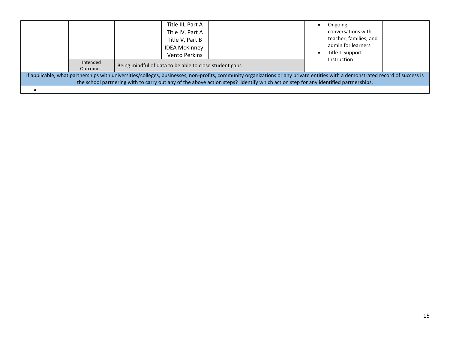| Intended<br>Outcomes: | Title III, Part A<br>Title IV, Part A<br>Title V, Part B<br><b>IDEA McKinney-</b><br>Vento Perkins<br>Being mindful of data to be able to close student gaps.                                                                                                                                                        |  | $\bullet$ | Ongoing<br>conversations with<br>teacher, families, and<br>admin for learners<br>Title 1 Support<br>Instruction |  |
|-----------------------|----------------------------------------------------------------------------------------------------------------------------------------------------------------------------------------------------------------------------------------------------------------------------------------------------------------------|--|-----------|-----------------------------------------------------------------------------------------------------------------|--|
|                       | If applicable, what partnerships with universities/colleges, businesses, non-profits, community organizations or any private entities with a demonstrated record of success is<br>the school partnering with to carry out any of the above action steps? Identify which action step for any identified partnerships. |  |           |                                                                                                                 |  |
|                       |                                                                                                                                                                                                                                                                                                                      |  |           |                                                                                                                 |  |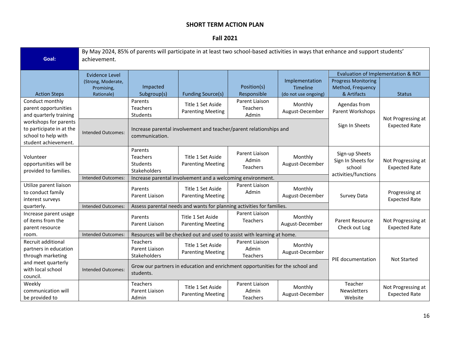#### **Fall 2021**

| Goal:                    | By May 2024, 85% of parents will participate in at least two school-based activities in ways that enhance and support students'<br>achievement. |                 |                                                                                |                 |                      |                                    |                                            |
|--------------------------|-------------------------------------------------------------------------------------------------------------------------------------------------|-----------------|--------------------------------------------------------------------------------|-----------------|----------------------|------------------------------------|--------------------------------------------|
|                          | <b>Evidence Level</b>                                                                                                                           |                 |                                                                                |                 |                      | Evaluation of Implementation & ROI |                                            |
|                          | (Strong, Moderate,                                                                                                                              |                 |                                                                                |                 | Implementation       | <b>Progress Monitoring</b>         |                                            |
|                          | Promising,                                                                                                                                      | Impacted        |                                                                                | Position(s)     | <b>Timeline</b>      | Method, Frequency                  |                                            |
| <b>Action Steps</b>      | Rationale)                                                                                                                                      | Subgroup(s)     | <b>Funding Source(s)</b>                                                       | Responsible     | (do not use ongoing) | & Artifacts                        | <b>Status</b>                              |
| Conduct monthly          |                                                                                                                                                 | Parents         | Title 1 Set Aside                                                              | Parent Liaison  | Monthly              | Agendas from                       |                                            |
| parent opportunities     |                                                                                                                                                 | Teachers        | <b>Parenting Meeting</b>                                                       | <b>Teachers</b> | August-December      | Parent Workshops                   |                                            |
| and quarterly training   |                                                                                                                                                 | Students        |                                                                                | Admin           |                      |                                    | Not Progressing at                         |
| workshops for parents    |                                                                                                                                                 |                 |                                                                                |                 |                      | Sign In Sheets                     | <b>Expected Rate</b>                       |
| to participate in at the | <b>Intended Outcomes:</b>                                                                                                                       |                 | Increase parental involvement and teacher/parent relationships and             |                 |                      |                                    |                                            |
| school to help with      |                                                                                                                                                 | communication.  |                                                                                |                 |                      |                                    |                                            |
| student achievement.     |                                                                                                                                                 |                 |                                                                                |                 |                      |                                    |                                            |
|                          |                                                                                                                                                 | Parents         |                                                                                | Parent Liaison  |                      | Sign-up Sheets                     |                                            |
| Volunteer                |                                                                                                                                                 | <b>Teachers</b> | Title 1 Set Aside                                                              | Admin           | Monthly              | Sign In Sheets for                 |                                            |
| opportunities will be    |                                                                                                                                                 | <b>Students</b> | <b>Parenting Meeting</b>                                                       | <b>Teachers</b> | August-December      | school                             | Not Progressing at<br><b>Expected Rate</b> |
| provided to families.    |                                                                                                                                                 | Stakeholders    |                                                                                |                 |                      | activities/functions               |                                            |
|                          | Intended Outcomes:                                                                                                                              |                 | Increase parental involvement and a welcoming environment.                     |                 |                      |                                    |                                            |
| Utilize parent liaison   |                                                                                                                                                 | Parents         | Title 1 Set Aside                                                              | Parent Liaison  | Monthly              |                                    |                                            |
| to conduct family        |                                                                                                                                                 | Parent Liaison  |                                                                                | Admin           |                      |                                    | Progressing at                             |
| interest surveys         |                                                                                                                                                 |                 | <b>Parenting Meeting</b>                                                       |                 | August-December      | Survey Data                        | <b>Expected Rate</b>                       |
| quarterly.               | <b>Intended Outcomes:</b>                                                                                                                       |                 | Assess parental needs and wants for planning activities for families.          |                 |                      |                                    |                                            |
| Increase parent usage    |                                                                                                                                                 |                 |                                                                                | Parent Liaison  |                      |                                    |                                            |
| of items from the        |                                                                                                                                                 | Parents         | Title 1 Set Aside                                                              | <b>Teachers</b> | Monthly              | <b>Parent Resource</b>             | Not Progressing at                         |
| parent resource          |                                                                                                                                                 | Parent Liaison  | <b>Parenting Meeting</b>                                                       |                 | August-December      | Check out Log                      | <b>Expected Rate</b>                       |
| room.                    | <b>Intended Outcomes:</b>                                                                                                                       |                 | Resources will be checked out and used to assist with learning at home.        |                 |                      |                                    |                                            |
| Recruit additional       |                                                                                                                                                 | <b>Teachers</b> |                                                                                | Parent Liaison  |                      |                                    |                                            |
| partners in education    |                                                                                                                                                 | Parent Liaison  | Title 1 Set Aside                                                              | Admin           | Monthly              |                                    |                                            |
| through marketing        |                                                                                                                                                 | Stakeholders    | <b>Parenting Meeting</b>                                                       | <b>Teachers</b> | August-December      |                                    |                                            |
| and meet quarterly       |                                                                                                                                                 |                 |                                                                                |                 |                      | PIE documentation                  | <b>Not Started</b>                         |
| with local school        | <b>Intended Outcomes:</b>                                                                                                                       |                 | Grow our partners in education and enrichment opportunities for the school and |                 |                      |                                    |                                            |
| council.                 |                                                                                                                                                 | students.       |                                                                                |                 |                      |                                    |                                            |
| Weekly                   |                                                                                                                                                 | <b>Teachers</b> |                                                                                | Parent Liaison  |                      | Teacher                            |                                            |
| communication will       |                                                                                                                                                 | Parent Liaison  | Title 1 Set Aside                                                              | Admin           | Monthly              | Newsletters                        | Not Progressing at                         |
| be provided to           |                                                                                                                                                 | Admin           | <b>Parenting Meeting</b>                                                       | <b>Teachers</b> | August-December      | Website                            | <b>Expected Rate</b>                       |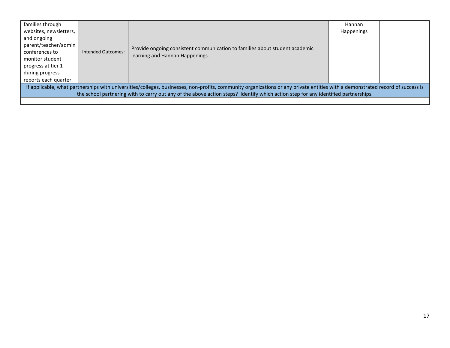| families through                                                                                                                   |                    |                                                                                                                                                                                | Hannan            |  |
|------------------------------------------------------------------------------------------------------------------------------------|--------------------|--------------------------------------------------------------------------------------------------------------------------------------------------------------------------------|-------------------|--|
| websites, newsletters,                                                                                                             |                    |                                                                                                                                                                                | <b>Happenings</b> |  |
| and ongoing                                                                                                                        |                    |                                                                                                                                                                                |                   |  |
| parent/teacher/admin                                                                                                               |                    | Provide ongoing consistent communication to families about student academic                                                                                                    |                   |  |
| conferences to                                                                                                                     | Intended Outcomes: | learning and Hannan Happenings.                                                                                                                                                |                   |  |
| monitor student                                                                                                                    |                    |                                                                                                                                                                                |                   |  |
| progress at tier 1                                                                                                                 |                    |                                                                                                                                                                                |                   |  |
| during progress                                                                                                                    |                    |                                                                                                                                                                                |                   |  |
| reports each quarter.                                                                                                              |                    |                                                                                                                                                                                |                   |  |
|                                                                                                                                    |                    | If applicable, what partnerships with universities/colleges, businesses, non-profits, community organizations or any private entities with a demonstrated record of success is |                   |  |
| the school partnering with to carry out any of the above action steps? Identify which action step for any identified partnerships. |                    |                                                                                                                                                                                |                   |  |
|                                                                                                                                    |                    |                                                                                                                                                                                |                   |  |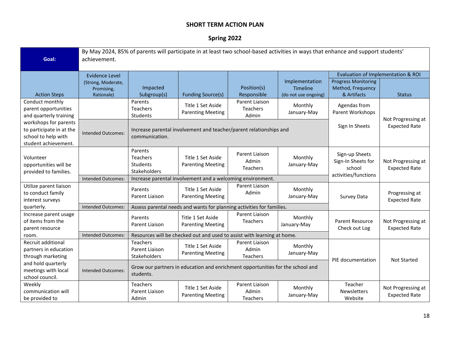# **Spring 2022**

| Goal:                                      | By May 2024, 85% of parents will participate in at least two school-based activities in ways that enhance and support students'<br>achievement. |                 |                                                                                |                            |                        |                                    |                                            |
|--------------------------------------------|-------------------------------------------------------------------------------------------------------------------------------------------------|-----------------|--------------------------------------------------------------------------------|----------------------------|------------------------|------------------------------------|--------------------------------------------|
|                                            | Evidence Level                                                                                                                                  |                 |                                                                                |                            |                        | Evaluation of Implementation & ROI |                                            |
|                                            | (Strong, Moderate,                                                                                                                              |                 |                                                                                |                            | Implementation         | <b>Progress Monitoring</b>         |                                            |
|                                            | Promising,                                                                                                                                      | Impacted        |                                                                                | Position(s)                | <b>Timeline</b>        | Method, Frequency                  |                                            |
| <b>Action Steps</b>                        | Rationale)                                                                                                                                      | Subgroup(s)     | <b>Funding Source(s)</b>                                                       | Responsible                | (do not use ongoing)   | & Artifacts                        | <b>Status</b>                              |
| Conduct monthly                            |                                                                                                                                                 | Parents         |                                                                                | Parent Liaison             |                        |                                    |                                            |
| parent opportunities                       |                                                                                                                                                 | Teachers        | Title 1 Set Aside<br><b>Parenting Meeting</b>                                  | Teachers                   | Monthly<br>January-May | Agendas from<br>Parent Workshops   |                                            |
| and quarterly training                     |                                                                                                                                                 | Students        |                                                                                | Admin                      |                        |                                    | Not Progressing at                         |
| workshops for parents                      |                                                                                                                                                 |                 |                                                                                |                            |                        | Sign In Sheets                     | <b>Expected Rate</b>                       |
| to participate in at the                   | <b>Intended Outcomes:</b>                                                                                                                       |                 | Increase parental involvement and teacher/parent relationships and             |                            |                        |                                    |                                            |
| school to help with                        |                                                                                                                                                 | communication.  |                                                                                |                            |                        |                                    |                                            |
| student achievement.                       |                                                                                                                                                 |                 |                                                                                |                            |                        |                                    |                                            |
|                                            |                                                                                                                                                 | Parents         |                                                                                | Parent Liaison             |                        | Sign-up Sheets                     |                                            |
| Volunteer                                  |                                                                                                                                                 | Teachers        | Title 1 Set Aside                                                              | Admin                      | Monthly                | Sign-In Sheets for                 | Not Progressing at                         |
| opportunities will be                      |                                                                                                                                                 | Students        | <b>Parenting Meeting</b>                                                       | Teachers                   | January-May            | school                             | <b>Expected Rate</b>                       |
| provided to families.                      |                                                                                                                                                 | Stakeholders    |                                                                                |                            |                        | activities/functions               |                                            |
|                                            | <b>Intended Outcomes:</b>                                                                                                                       |                 | Increase parental involvement and a welcoming environment.                     |                            |                        |                                    |                                            |
| Utilize parent liaison                     |                                                                                                                                                 | Parents         | Title 1 Set Aside                                                              | Parent Liaison             | Monthly                |                                    |                                            |
| to conduct family                          |                                                                                                                                                 | Parent Liaison  | <b>Parenting Meeting</b>                                                       | Admin                      | January-May            | Survey Data                        | Progressing at                             |
| interest surveys                           |                                                                                                                                                 |                 |                                                                                |                            |                        |                                    | <b>Expected Rate</b>                       |
| quarterly.                                 | Intended Outcomes:                                                                                                                              |                 | Assess parental needs and wants for planning activities for families.          |                            |                        |                                    |                                            |
| Increase parent usage<br>of items from the |                                                                                                                                                 | Parents         | Title 1 Set Aside                                                              | Parent Liaison<br>Teachers | Monthly                | <b>Parent Resource</b>             |                                            |
| parent resource                            |                                                                                                                                                 | Parent Liaison  | <b>Parenting Meeting</b>                                                       |                            | January-May            | Check out Log                      | Not Progressing at<br><b>Expected Rate</b> |
| room.                                      | <b>Intended Outcomes:</b>                                                                                                                       |                 | Resources will be checked out and used to assist with learning at home.        |                            |                        |                                    |                                            |
| Recruit additional                         |                                                                                                                                                 | <b>Teachers</b> |                                                                                | Parent Liaison             |                        |                                    |                                            |
| partners in education                      |                                                                                                                                                 | Parent Liaison  | Title 1 Set Aside                                                              | Admin                      | Monthly                |                                    |                                            |
| through marketing                          |                                                                                                                                                 | Stakeholders    | <b>Parenting Meeting</b>                                                       | Teachers                   | January-May            |                                    |                                            |
| and hold quarterly                         |                                                                                                                                                 |                 |                                                                                |                            |                        | PIE documentation                  | <b>Not Started</b>                         |
| meetings with local                        | <b>Intended Outcomes:</b>                                                                                                                       |                 | Grow our partners in education and enrichment opportunities for the school and |                            |                        |                                    |                                            |
| school council.                            |                                                                                                                                                 | students.       |                                                                                |                            |                        |                                    |                                            |
| Weekly                                     |                                                                                                                                                 | Teachers        |                                                                                | Parent Liaison             |                        | Teacher                            |                                            |
| communication will                         |                                                                                                                                                 | Parent Liaison  | Title 1 Set Aside                                                              | Admin                      | Monthly                | Newsletters                        | Not Progressing at                         |
| be provided to                             |                                                                                                                                                 | Admin           | <b>Parenting Meeting</b>                                                       | Teachers                   | January-May            | Website                            | <b>Expected Rate</b>                       |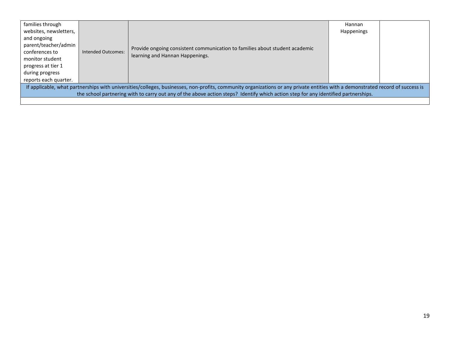| families through<br>websites, newsletters,<br>and ongoing<br>parent/teacher/admin<br>conferences to<br>monitor student                                                                                                                                                                                               | <b>Intended Outcomes:</b> | Provide ongoing consistent communication to families about student academic<br>learning and Hannan Happenings. | Hannan<br><b>Happenings</b> |  |
|----------------------------------------------------------------------------------------------------------------------------------------------------------------------------------------------------------------------------------------------------------------------------------------------------------------------|---------------------------|----------------------------------------------------------------------------------------------------------------|-----------------------------|--|
| progress at tier 1<br>during progress<br>reports each quarter.                                                                                                                                                                                                                                                       |                           |                                                                                                                |                             |  |
| If applicable, what partnerships with universities/colleges, businesses, non-profits, community organizations or any private entities with a demonstrated record of success is<br>the school partnering with to carry out any of the above action steps? Identify which action step for any identified partnerships. |                           |                                                                                                                |                             |  |
|                                                                                                                                                                                                                                                                                                                      |                           |                                                                                                                |                             |  |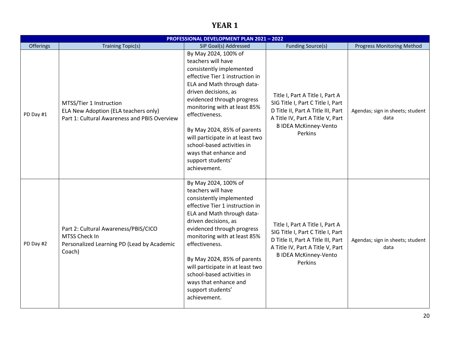# **YEAR 1**

|           |                                                                                                                 | <b>PROFESSIONAL DEVELOPMENT PLAN 2021 - 2022</b>                                                                                                                                                                                                                                                                                                                                                               |                                                                                                                                                                                           |                                          |
|-----------|-----------------------------------------------------------------------------------------------------------------|----------------------------------------------------------------------------------------------------------------------------------------------------------------------------------------------------------------------------------------------------------------------------------------------------------------------------------------------------------------------------------------------------------------|-------------------------------------------------------------------------------------------------------------------------------------------------------------------------------------------|------------------------------------------|
| Offerings | <b>Training Topic(s)</b>                                                                                        | SIP Goal(s) Addressed                                                                                                                                                                                                                                                                                                                                                                                          | <b>Funding Source(s)</b>                                                                                                                                                                  | <b>Progress Monitoring Method</b>        |
| PD Day #1 | MTSS/Tier 1 Instruction<br>ELA New Adoption (ELA teachers only)<br>Part 1: Cultural Awareness and PBIS Overview | By May 2024, 100% of<br>teachers will have<br>consistently implemented<br>effective Tier 1 instruction in<br>ELA and Math through data-<br>driven decisions, as<br>evidenced through progress<br>monitoring with at least 85%<br>effectiveness.<br>By May 2024, 85% of parents<br>will participate in at least two<br>school-based activities in<br>ways that enhance and<br>support students'<br>achievement. | Title I, Part A Title I, Part A<br>SIG Title I, Part C Title I, Part<br>D Title II, Part A Title III, Part<br>A Title IV, Part A Title V, Part<br><b>B IDEA McKinney-Vento</b><br>Perkins | Agendas; sign in sheets; student<br>data |
| PD Day #2 | Part 2: Cultural Awareness/PBIS/CICO<br>MTSS Check In<br>Personalized Learning PD (Lead by Academic<br>Coach)   | By May 2024, 100% of<br>teachers will have<br>consistently implemented<br>effective Tier 1 instruction in<br>ELA and Math through data-<br>driven decisions, as<br>evidenced through progress<br>monitoring with at least 85%<br>effectiveness.<br>By May 2024, 85% of parents<br>will participate in at least two<br>school-based activities in<br>ways that enhance and<br>support students'<br>achievement. | Title I, Part A Title I, Part A<br>SIG Title I, Part C Title I, Part<br>D Title II, Part A Title III, Part<br>A Title IV, Part A Title V, Part<br><b>B IDEA McKinney-Vento</b><br>Perkins | Agendas; sign in sheets; student<br>data |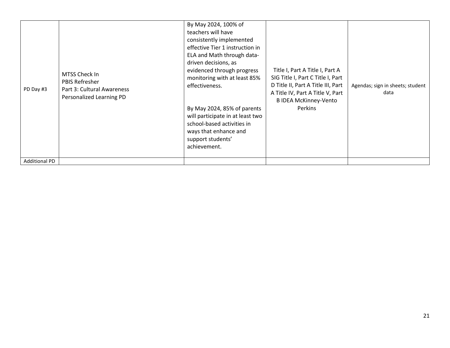| PD Day #3            | MTSS Check In<br><b>PBIS Refresher</b><br>Part 3: Cultural Awareness<br>Personalized Learning PD | By May 2024, 100% of<br>teachers will have<br>consistently implemented<br>effective Tier 1 instruction in<br>ELA and Math through data-<br>driven decisions, as<br>evidenced through progress<br>monitoring with at least 85%<br>effectiveness.<br>By May 2024, 85% of parents<br>will participate in at least two<br>school-based activities in<br>ways that enhance and<br>support students'<br>achievement. | Title I, Part A Title I, Part A<br>SIG Title I, Part C Title I, Part<br>D Title II, Part A Title III, Part<br>A Title IV, Part A Title V, Part<br><b>B IDEA McKinney-Vento</b><br>Perkins | Agendas; sign in sheets; student<br>data |
|----------------------|--------------------------------------------------------------------------------------------------|----------------------------------------------------------------------------------------------------------------------------------------------------------------------------------------------------------------------------------------------------------------------------------------------------------------------------------------------------------------------------------------------------------------|-------------------------------------------------------------------------------------------------------------------------------------------------------------------------------------------|------------------------------------------|
| <b>Additional PD</b> |                                                                                                  |                                                                                                                                                                                                                                                                                                                                                                                                                |                                                                                                                                                                                           |                                          |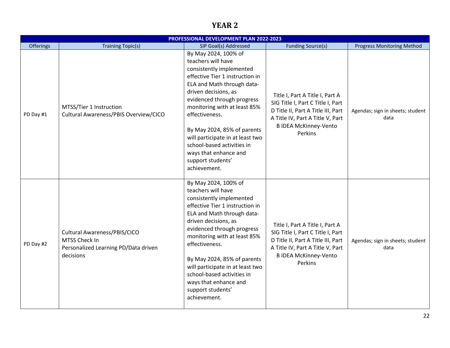# **YEAR 2**

|           |                                                                                                    | PROFESSIONAL DEVELOPMENT PLAN 2022-2023                                                                                                                                                                                                                                                                                                                                                                        |                                                                                                                                                                                           |                                          |
|-----------|----------------------------------------------------------------------------------------------------|----------------------------------------------------------------------------------------------------------------------------------------------------------------------------------------------------------------------------------------------------------------------------------------------------------------------------------------------------------------------------------------------------------------|-------------------------------------------------------------------------------------------------------------------------------------------------------------------------------------------|------------------------------------------|
| Offerings | <b>Training Topic(s)</b>                                                                           | SIP Goal(s) Addressed                                                                                                                                                                                                                                                                                                                                                                                          | <b>Funding Source(s)</b>                                                                                                                                                                  | <b>Progress Monitoring Method</b>        |
| PD Day #1 | MTSS/Tier 1 Instruction<br>Cultural Awareness/PBIS Overview/CICO                                   | By May 2024, 100% of<br>teachers will have<br>consistently implemented<br>effective Tier 1 instruction in<br>ELA and Math through data-<br>driven decisions, as<br>evidenced through progress<br>monitoring with at least 85%<br>effectiveness.<br>By May 2024, 85% of parents<br>will participate in at least two<br>school-based activities in<br>ways that enhance and<br>support students'<br>achievement. | Title I, Part A Title I, Part A<br>SIG Title I, Part C Title I, Part<br>D Title II, Part A Title III, Part<br>A Title IV, Part A Title V, Part<br><b>B IDEA McKinney-Vento</b><br>Perkins | Agendas; sign in sheets; student<br>data |
| PD Day #2 | Cultural Awareness/PBIS/CICO<br>MTSS Check In<br>Personalized Learning PD/Data driven<br>decisions | By May 2024, 100% of<br>teachers will have<br>consistently implemented<br>effective Tier 1 instruction in<br>ELA and Math through data-<br>driven decisions, as<br>evidenced through progress<br>monitoring with at least 85%<br>effectiveness.<br>By May 2024, 85% of parents<br>will participate in at least two<br>school-based activities in<br>ways that enhance and<br>support students'<br>achievement. | Title I, Part A Title I, Part A<br>SIG Title I, Part C Title I, Part<br>D Title II, Part A Title III, Part<br>A Title IV, Part A Title V, Part<br><b>B IDEA McKinney-Vento</b><br>Perkins | Agendas; sign in sheets; student<br>data |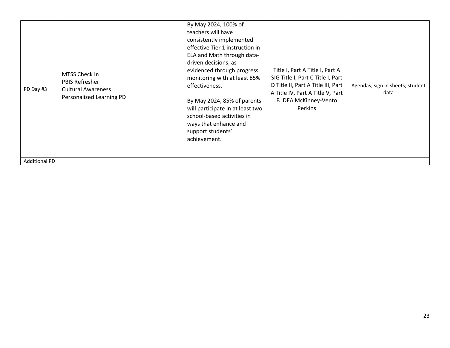| PD Day #3            | MTSS Check In<br><b>PBIS Refresher</b><br><b>Cultural Awareness</b><br>Personalized Learning PD | By May 2024, 100% of<br>teachers will have<br>consistently implemented<br>effective Tier 1 instruction in<br>ELA and Math through data-<br>driven decisions, as<br>evidenced through progress<br>monitoring with at least 85%<br>effectiveness.<br>By May 2024, 85% of parents<br>will participate in at least two<br>school-based activities in<br>ways that enhance and<br>support students'<br>achievement. | Title I, Part A Title I, Part A<br>SIG Title I, Part C Title I, Part<br>D Title II, Part A Title III, Part<br>A Title IV, Part A Title V, Part<br><b>B IDEA McKinney-Vento</b><br>Perkins | Agendas; sign in sheets; student<br>data |
|----------------------|-------------------------------------------------------------------------------------------------|----------------------------------------------------------------------------------------------------------------------------------------------------------------------------------------------------------------------------------------------------------------------------------------------------------------------------------------------------------------------------------------------------------------|-------------------------------------------------------------------------------------------------------------------------------------------------------------------------------------------|------------------------------------------|
| <b>Additional PD</b> |                                                                                                 |                                                                                                                                                                                                                                                                                                                                                                                                                |                                                                                                                                                                                           |                                          |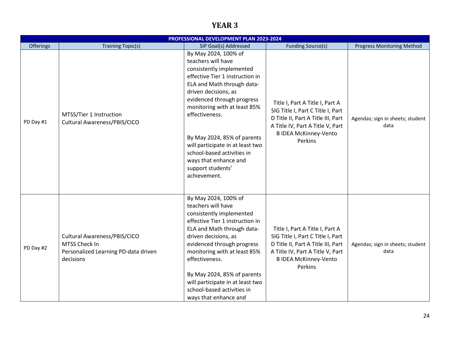# **YEAR 3**

|           |                                                                                                    | PROFESSIONAL DEVELOPMENT PLAN 2023-2024                                                                                                                                                                                                                                                                                                                                                                        |                                                                                                                                                                                           |                                          |
|-----------|----------------------------------------------------------------------------------------------------|----------------------------------------------------------------------------------------------------------------------------------------------------------------------------------------------------------------------------------------------------------------------------------------------------------------------------------------------------------------------------------------------------------------|-------------------------------------------------------------------------------------------------------------------------------------------------------------------------------------------|------------------------------------------|
| Offerings | <b>Training Topic(s)</b>                                                                           | SIP Goal(s) Addressed                                                                                                                                                                                                                                                                                                                                                                                          | <b>Funding Source(s)</b>                                                                                                                                                                  | <b>Progress Monitoring Method</b>        |
| PD Day #1 | MTSS/Tier 1 Instruction<br>Cultural Awareness/PBIS/CICO                                            | By May 2024, 100% of<br>teachers will have<br>consistently implemented<br>effective Tier 1 instruction in<br>ELA and Math through data-<br>driven decisions, as<br>evidenced through progress<br>monitoring with at least 85%<br>effectiveness.<br>By May 2024, 85% of parents<br>will participate in at least two<br>school-based activities in<br>ways that enhance and<br>support students'<br>achievement. | Title I, Part A Title I, Part A<br>SIG Title I, Part C Title I, Part<br>D Title II, Part A Title III, Part<br>A Title IV, Part A Title V, Part<br><b>B IDEA McKinney-Vento</b><br>Perkins | Agendas; sign in sheets; student<br>data |
| PD Day #2 | Cultural Awareness/PBIS/CICO<br>MTSS Check In<br>Personalized Learning PD-data driven<br>decisions | By May 2024, 100% of<br>teachers will have<br>consistently implemented<br>effective Tier 1 instruction in<br>ELA and Math through data-<br>driven decisions, as<br>evidenced through progress<br>monitoring with at least 85%<br>effectiveness.<br>By May 2024, 85% of parents<br>will participate in at least two<br>school-based activities in<br>ways that enhance and                                      | Title I, Part A Title I, Part A<br>SIG Title I, Part C Title I, Part<br>D Title II, Part A Title III, Part<br>A Title IV, Part A Title V, Part<br><b>B IDEA McKinney-Vento</b><br>Perkins | Agendas; sign in sheets; student<br>data |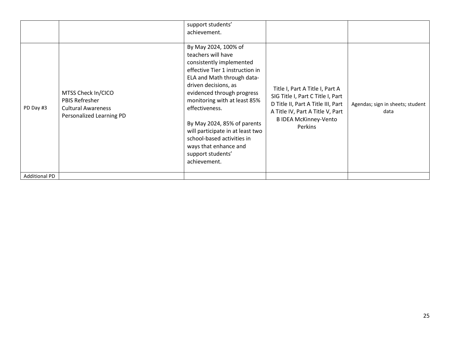|                      |                                                                                                      | support students'<br>achievement.                                                                                                                                                                                                                                                                                                                                                                              |                                                                                                                                                                                           |                                          |
|----------------------|------------------------------------------------------------------------------------------------------|----------------------------------------------------------------------------------------------------------------------------------------------------------------------------------------------------------------------------------------------------------------------------------------------------------------------------------------------------------------------------------------------------------------|-------------------------------------------------------------------------------------------------------------------------------------------------------------------------------------------|------------------------------------------|
| PD Day #3            | MTSS Check In/CICO<br><b>PBIS Refresher</b><br><b>Cultural Awareness</b><br>Personalized Learning PD | By May 2024, 100% of<br>teachers will have<br>consistently implemented<br>effective Tier 1 instruction in<br>ELA and Math through data-<br>driven decisions, as<br>evidenced through progress<br>monitoring with at least 85%<br>effectiveness.<br>By May 2024, 85% of parents<br>will participate in at least two<br>school-based activities in<br>ways that enhance and<br>support students'<br>achievement. | Title I, Part A Title I, Part A<br>SIG Title I, Part C Title I, Part<br>D Title II, Part A Title III, Part<br>A Title IV, Part A Title V, Part<br><b>B IDEA McKinney-Vento</b><br>Perkins | Agendas; sign in sheets; student<br>data |
| <b>Additional PD</b> |                                                                                                      |                                                                                                                                                                                                                                                                                                                                                                                                                |                                                                                                                                                                                           |                                          |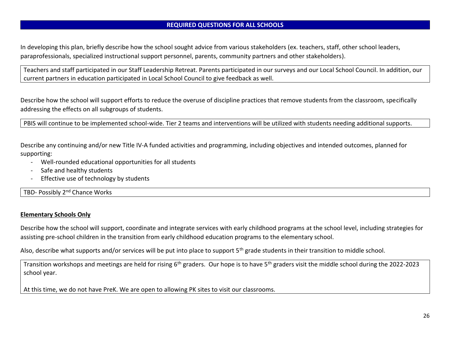#### **REQUIRED QUESTIONS FOR ALL SCHOOLS**

In developing this plan, briefly describe how the school sought advice from various stakeholders (ex. teachers, staff, other school leaders, paraprofessionals, specialized instructional support personnel, parents, community partners and other stakeholders).

Teachers and staff participated in our Staff Leadership Retreat. Parents participated in our surveys and our Local School Council. In addition, our current partners in education participated in Local School Council to give feedback as well.

Describe how the school will support efforts to reduce the overuse of discipline practices that remove students from the classroom, specifically addressing the effects on all subgroups of students.

PBIS will continue to be implemented school-wide. Tier 2 teams and interventions will be utilized with students needing additional supports.

Describe any continuing and/or new Title IV-A funded activities and programming, including objectives and intended outcomes, planned for supporting:

- Well-rounded educational opportunities for all students
- Safe and healthy students
- Effective use of technology by students

TBD- Possibly 2<sup>nd</sup> Chance Works

#### **Elementary Schools Only**

Describe how the school will support, coordinate and integrate services with early childhood programs at the school level, including strategies for assisting pre-school children in the transition from early childhood education programs to the elementary school.

Also, describe what supports and/or services will be put into place to support 5<sup>th</sup> grade students in their transition to middle school.

Transition workshops and meetings are held for rising 6<sup>th</sup> graders. Our hope is to have 5<sup>th</sup> graders visit the middle school during the 2022-2023 school year.

At this time, we do not have PreK. We are open to allowing PK sites to visit our classrooms.